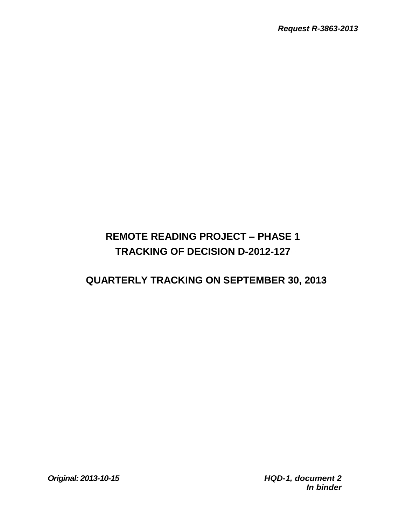# **REMOTE READING PROJECT – PHASE 1 TRACKING OF DECISION D-2012-127**

### **QUARTERLY TRACKING ON SEPTEMBER 30, 2013**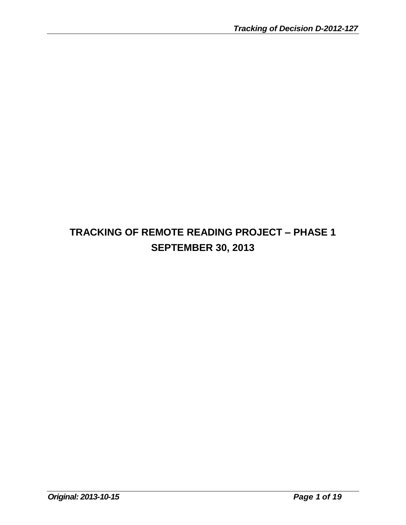# **TRACKING OF REMOTE READING PROJECT – PHASE 1 SEPTEMBER 30, 2013**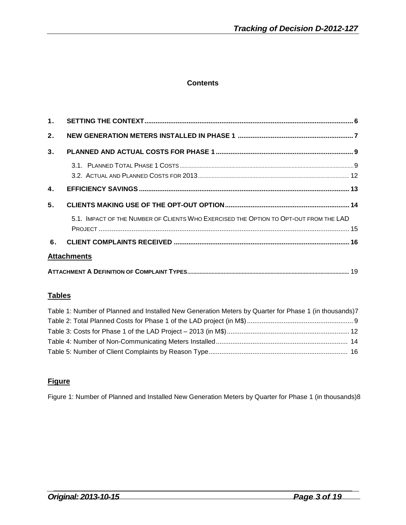#### **Contents**

| 2.             |                                                                                       |  |
|----------------|---------------------------------------------------------------------------------------|--|
| 3.             |                                                                                       |  |
|                |                                                                                       |  |
|                |                                                                                       |  |
| $\mathbf{A}$   |                                                                                       |  |
| 5 <sub>1</sub> |                                                                                       |  |
|                | 5.1. IMPACT OF THE NUMBER OF CLIENTS WHO EXERCISED THE OPTION TO OPT-OUT FROM THE LAD |  |
|                |                                                                                       |  |
| 6.             |                                                                                       |  |
|                | <b>Attachments</b>                                                                    |  |
|                |                                                                                       |  |

#### **Tables**

| Table 1: Number of Planned and Installed New Generation Meters by Quarter for Phase 1 (in thousands)7 |  |
|-------------------------------------------------------------------------------------------------------|--|
|                                                                                                       |  |
|                                                                                                       |  |
|                                                                                                       |  |
|                                                                                                       |  |

#### **Figure**

Figure 1: Number of Planned and Installed New Generation Meters by Quarter for Phase 1 (in thousands)8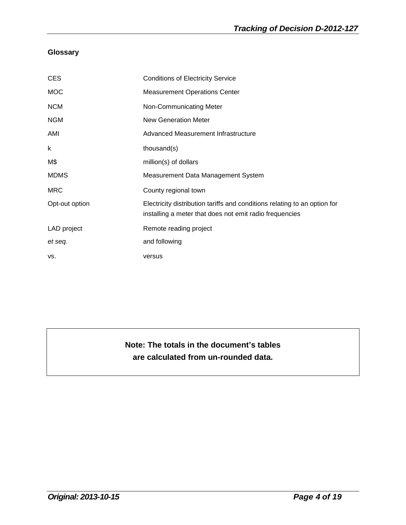#### **Glossary**

| <b>CES</b>     | <b>Conditions of Electricity Service</b>                                                                                             |
|----------------|--------------------------------------------------------------------------------------------------------------------------------------|
| <b>MOC</b>     | <b>Measurement Operations Center</b>                                                                                                 |
| <b>NCM</b>     | Non-Communicating Meter                                                                                                              |
| <b>NGM</b>     | <b>New Generation Meter</b>                                                                                                          |
| AMI            | Advanced Measurement Infrastructure                                                                                                  |
| k              | thousand(s)                                                                                                                          |
| M\$            | million(s) of dollars                                                                                                                |
| <b>MDMS</b>    | Measurement Data Management System                                                                                                   |
| <b>MRC</b>     | County regional town                                                                                                                 |
| Opt-out option | Electricity distribution tariffs and conditions relating to an option for<br>installing a meter that does not emit radio frequencies |
| LAD project    | Remote reading project                                                                                                               |
| et seq.        | and following                                                                                                                        |
| VS.            | versus                                                                                                                               |

### **Note: The totals in the document's tables are calculated from un-rounded data.**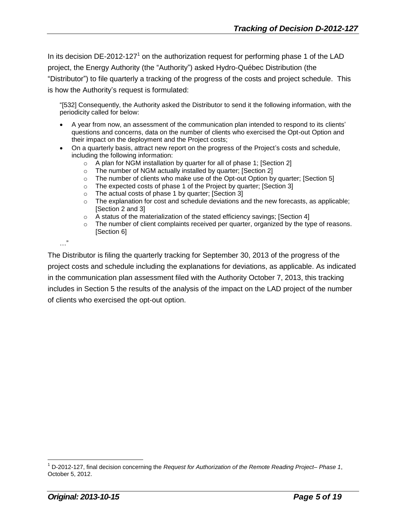In its decision DE-2012-127<sup>1</sup> on the authorization request for performing phase 1 of the LAD project, the Energy Authority (the "Authority") asked Hydro-Québec Distribution (the "Distributor") to file quarterly a tracking of the progress of the costs and project schedule. This is how the Authority's request is formulated:

"[532] Consequently, the Authority asked the Distributor to send it the following information, with the periodicity called for below:

- A year from now, an assessment of the communication plan intended to respond to its clients' questions and concerns, data on the number of clients who exercised the Opt-out Option and their impact on the deployment and the Project costs;
- On a quarterly basis, attract new report on the progress of the Project's costs and schedule, including the following information:
	- o A plan for NGM installation by quarter for all of phase 1; [Section 2]
	- $\circ$  The number of NGM actually installed by quarter; [Section 2]  $\circ$  The number of clients who make use of the Opt-out Option by
	- The number of clients who make use of the Opt-out Option by quarter; [Section 5]
	- o The expected costs of phase 1 of the Project by quarter; [Section 3]
	- o The actual costs of phase 1 by quarter; [Section 3]
	- $\circ$  The explanation for cost and schedule deviations and the new forecasts, as applicable; [Section 2 and 3]
	- o A status of the materialization of the stated efficiency savings; [Section 4]
	- $\circ$  The number of client complaints received per quarter, organized by the type of reasons. [Section 6]

…"

The Distributor is filing the quarterly tracking for September 30, 2013 of the progress of the project costs and schedule including the explanations for deviations, as applicable. As indicated in the communication plan assessment filed with the Authority October 7, 2013, this tracking includes in Section 5 the results of the analysis of the impact on the LAD project of the number of clients who exercised the opt-out option.

<sup>1</sup> D-2012-127, final decision concerning the *Request for Authorization of the Remote Reading Project– Phase 1*, October 5, 2012.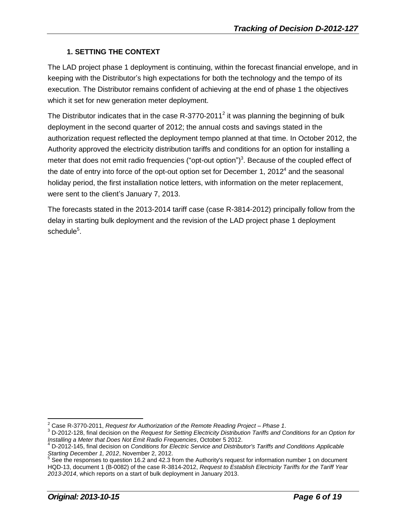#### **1. SETTING THE CONTEXT**

The LAD project phase 1 deployment is continuing, within the forecast financial envelope, and in keeping with the Distributor's high expectations for both the technology and the tempo of its execution. The Distributor remains confident of achieving at the end of phase 1 the objectives which it set for new generation meter deployment.

The Distributor indicates that in the case R-3770-2011<sup>2</sup> it was planning the beginning of bulk deployment in the second quarter of 2012; the annual costs and savings stated in the authorization request reflected the deployment tempo planned at that time. In October 2012, the Authority approved the electricity distribution tariffs and conditions for an option for installing a meter that does not emit radio frequencies ("opt-out option")<sup>3</sup>. Because of the coupled effect of the date of entry into force of the opt-out option set for December 1, 2012<sup>4</sup> and the seasonal holiday period, the first installation notice letters, with information on the meter replacement, were sent to the client's January 7, 2013.

The forecasts stated in the 2013-2014 tariff case (case R-3814-2012) principally follow from the delay in starting bulk deployment and the revision of the LAD project phase 1 deployment schedule $^5$ .

<sup>2</sup> Case R-3770-2011, *Request for Authorization of the Remote Reading Project – Phase 1*.

<sup>3</sup> D-2012-128, final decision on the *Request for Setting Electricity Distribution Tariffs and Conditions for an Option for Installing a Meter that Does Not Emit Radio Frequencies*, October 5 2012.

<sup>4</sup> D-2012-145, final decision on *Conditions for Electric Service and Distributor's Tariffs and Conditions Applicable Starting December 1, 2012*, November 2, 2012.

<sup>&</sup>lt;sup>5</sup> See the responses to question 16.2 and 42.3 from the Authority's request for information number 1 on document HQD-13, document 1 (B-0082) of the case R-3814-2012, *Request to Establish Electricity Tariffs for the Tariff Year 2013-2014*, which reports on a start of bulk deployment in January 2013.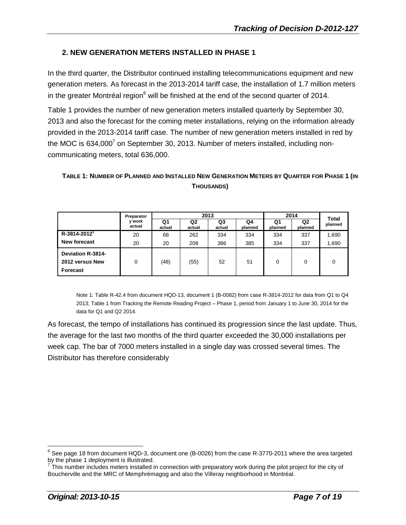#### **2. NEW GENERATION METERS INSTALLED IN PHASE 1**

In the third quarter, the Distributor continued installing telecommunications equipment and new generation meters. As forecast in the 2013-2014 tariff case, the installation of 1.7 million meters in the greater Montréal region $6$  will be finished at the end of the second quarter of 2014.

Table 1 provides the number of new generation meters installed quarterly by September 30, 2013 and also the forecast for the coming meter installations, relying on the information already provided in the 2013-2014 tariff case. The number of new generation meters installed in red by the MOC is 634,000<sup>7</sup> on September 30, 2013. Number of meters installed, including noncommunicating meters, total 636,000.

#### TABLE 1: NUMBER OF PLANNED AND INSTALLED NEW GENERATION METERS BY QUARTER FOR PHASE 1 (IN **THOUSANDS)**

|                                                         | 2013             |              |              |              | 2014          |               | Total                     |         |
|---------------------------------------------------------|------------------|--------------|--------------|--------------|---------------|---------------|---------------------------|---------|
|                                                         | y work<br>actual | Q1<br>actual | Q2<br>actual | Q3<br>actual | Q4<br>planned | Q1<br>planned | Q <sub>2</sub><br>planned | planned |
| $R - 3814 - 2012$                                       | 20               | 68           | 262          | 334          | 334           | 334           | 337                       | 1,690   |
| <b>New forecast</b>                                     | 20               | 20           | 208          | 386          | 385           | 334           | 337                       | 1,690   |
| <b>Deviation R-3814-</b><br>2012 versus New<br>Forecast | 0                | (48)         | (55)         | 52           | 51            | 0             | 0                         |         |

Note 1: Table R-42.4 from document HQD-13, document 1 (B-0082) from case R-3814-2012 for data from Q1 to Q4 2013; Table 1 from Tracking the Remote Reading Project – Phase 1, period from January 1 to June 30, 2014 for the data for Q1 and Q2 2014.

As forecast, the tempo of installations has continued its progression since the last update. Thus, the average for the last two months of the third quarter exceeded the 30,000 installations per week cap. The bar of 7000 meters installed in a single day was crossed several times. The Distributor has therefore considerably

 $^6$  See page 18 from document HQD-3, document one (B-0026) from the case R-3770-2011 where the area targeted

by the phase 1 deployment is illustrated.<br><sup>7</sup> This number includes meters installed in connection with preparatory work during the pilot project for the city of Boucherville and the MRC of Memphrémagog and also the Villeray neighborhood in Montréal.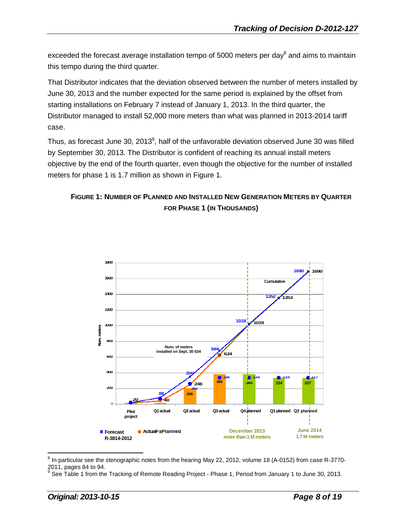exceeded the forecast average installation tempo of 5000 meters per day $^8$  and aims to maintain this tempo during the third quarter.

That Distributor indicates that the deviation observed between the number of meters installed by June 30, 2013 and the number expected for the same period is explained by the offset from starting installations on February 7 instead of January 1, 2013. In the third quarter, the Distributor managed to install 52,000 more meters than what was planned in 2013-2014 tariff case.

Thus, as forecast June 30, 2013<sup>9</sup>, half of the unfavorable deviation observed June 30 was filled by September 30, 2013. The Distributor is confident of reaching its annual install meters objective by the end of the fourth quarter, even though the objective for the number of installed meters for phase 1 is 1.7 million as shown in Figure 1.

#### **FIGURE 1: NUMBER OF PLANNED AND INSTALLED NEW GENERATION METERS BY QUARTER FOR PHASE 1 (IN THOUSANDS)**



 $^8$  In particular see the stenographic notes from the hearing May 22, 2012, volume 18 (A-0152) from case R-3770-2011, pages 84 to 94.<br><sup>9</sup> See Table 1 from the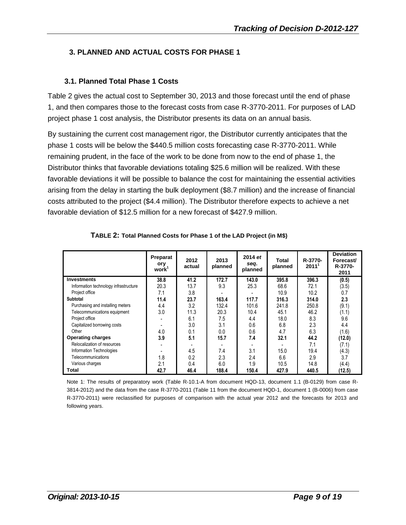#### **3. PLANNED AND ACTUAL COSTS FOR PHASE 1**

#### **3.1. Planned Total Phase 1 Costs**

Table 2 gives the actual cost to September 30, 2013 and those forecast until the end of phase 1, and then compares those to the forecast costs from case R-3770-2011. For purposes of LAD project phase 1 cost analysis, the Distributor presents its data on an annual basis.

By sustaining the current cost management rigor, the Distributor currently anticipates that the phase 1 costs will be below the \$440.5 million costs forecasting case R-3770-2011. While remaining prudent, in the face of the work to be done from now to the end of phase 1, the Distributor thinks that favorable deviations totaling \$25.6 million will be realized. With these favorable deviations it will be possible to balance the cost for maintaining the essential activities arising from the delay in starting the bulk deployment (\$8.7 million) and the increase of financial costs attributed to the project (\$4.4 million). The Distributor therefore expects to achieve a net favorable deviation of \$12.5 million for a new forecast of \$427.9 million.

|                                       | Preparat<br>ory<br>work <sup>1</sup> | 2012<br>actual | 2013<br>planned | 2014 et<br>seq.<br>planned | Total<br>planned | R-3770-<br>2011' | <b>Deviation</b><br>Forecast/<br>R-3770-<br>2011 |
|---------------------------------------|--------------------------------------|----------------|-----------------|----------------------------|------------------|------------------|--------------------------------------------------|
| <b>Investments</b>                    | 38.8                                 | 41.2           | 172.7           | 143.0                      | 395.8            | 396.3            | (0.5)                                            |
| Information technology infrastructure | 20.3                                 | 13.7           | 9.3             | 25.3                       | 68.6             | 72.1             | (3.5)                                            |
| Project office                        | 7.1                                  | 3.8            |                 |                            | 10.9             | 10.2             | 0.7                                              |
| <b>Subtotal</b>                       | 11.4                                 | 23.7           | 163.4           | 117.7                      | 316.3            | 314.0            | 2.3                                              |
| Purchasing and installing meters      | 4.4                                  | 3.2            | 132.4           | 101.6                      | 241.8            | 250.8            | (9.1)                                            |
| Telecommunications equipment          | 3.0                                  | 11.3           | 20.3            | 10.4                       | 45.1             | 46.2             | (1.1)                                            |
| Project office                        |                                      | 6.1            | 7.5             | 4.4                        | 18.0             | 8.3              | 9.6                                              |
| Capitalized borrowing costs           |                                      | 3.0            | 3.1             | 0.6                        | 6.8              | 2.3              | 4.4                                              |
| Other                                 | 4.0                                  | 0.1            | 0.0             | 0.6                        | 4.7              | 6.3              | (1.6)                                            |
| <b>Operating charges</b>              | 3.9                                  | 5.1            | 15.7            | 7.4                        | 32.1             | 44.2             | (12.0)                                           |
| Relocalization of resources           |                                      |                |                 |                            |                  | 7.1              | (7.1)                                            |
| Information Technologies              |                                      | 4.5            | 7.4             | 3.1                        | 15.0             | 19.4             | (4.3)                                            |
| Telecommunications                    | 1.8                                  | 0.2            | 2.3             | 2.4                        | 6.6              | 2.9              | 3.7                                              |
| Various charges                       | 2.1                                  | 0.4            | 6.0             | 1.9                        | 10.5             | 14.8             | (4.4)                                            |
| Total                                 | 42.7                                 | 46.4           | 188.4           | 150.4                      | 427.9            | 440.5            | (12.5)                                           |

Note 1: The results of preparatory work (Table R-10.1-A from document HQD-13, document 1.1 (B-0129) from case R-3814-2012) and the data from the case R-3770-2011 (Table 11 from the document HQD-1, document 1 (B-0006) from case R-3770-2011) were reclassified for purposes of comparison with the actual year 2012 and the forecasts for 2013 and following years.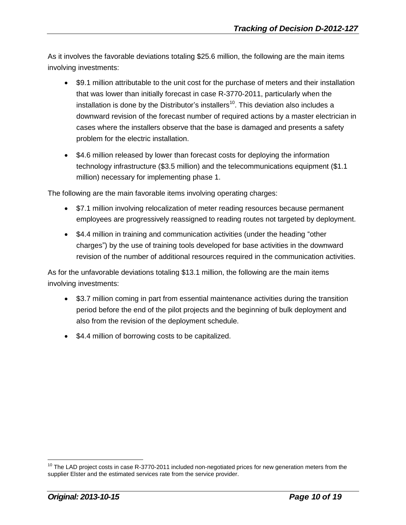As it involves the favorable deviations totaling \$25.6 million, the following are the main items involving investments:

- \$9.1 million attributable to the unit cost for the purchase of meters and their installation that was lower than initially forecast in case R-3770-2011, particularly when the installation is done by the Distributor's installers<sup>10</sup>. This deviation also includes a downward revision of the forecast number of required actions by a master electrician in cases where the installers observe that the base is damaged and presents a safety problem for the electric installation.
- \$4.6 million released by lower than forecast costs for deploying the information technology infrastructure (\$3.5 million) and the telecommunications equipment (\$1.1 million) necessary for implementing phase 1.

The following are the main favorable items involving operating charges:

- \$7.1 million involving relocalization of meter reading resources because permanent employees are progressively reassigned to reading routes not targeted by deployment.
- \$4.4 million in training and communication activities (under the heading "other charges") by the use of training tools developed for base activities in the downward revision of the number of additional resources required in the communication activities.

As for the unfavorable deviations totaling \$13.1 million, the following are the main items involving investments:

- \$3.7 million coming in part from essential maintenance activities during the transition period before the end of the pilot projects and the beginning of bulk deployment and also from the revision of the deployment schedule.
- \$4.4 million of borrowing costs to be capitalized.

 $10$  The LAD project costs in case R-3770-2011 included non-negotiated prices for new generation meters from the supplier Elster and the estimated services rate from the service provider.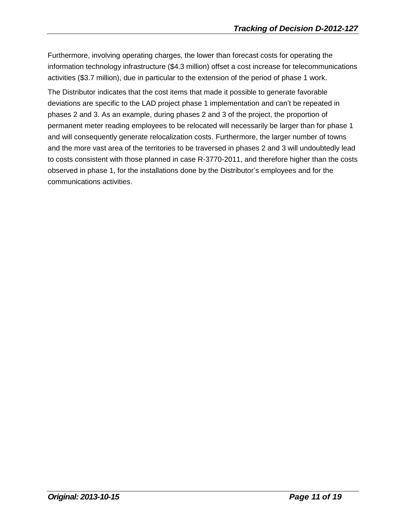Furthermore, involving operating charges, the lower than forecast costs for operating the information technology infrastructure (\$4.3 million) offset a cost increase for telecommunications activities (\$3.7 million), due in particular to the extension of the period of phase 1 work.

The Distributor indicates that the cost items that made it possible to generate favorable deviations are specific to the LAD project phase 1 implementation and can't be repeated in phases 2 and 3. As an example, during phases 2 and 3 of the project, the proportion of permanent meter reading employees to be relocated will necessarily be larger than for phase 1 and will consequently generate relocalization costs. Furthermore, the larger number of towns and the more vast area of the territories to be traversed in phases 2 and 3 will undoubtedly lead to costs consistent with those planned in case R-3770-2011, and therefore higher than the costs observed in phase 1, for the installations done by the Distributor's employees and for the communications activities.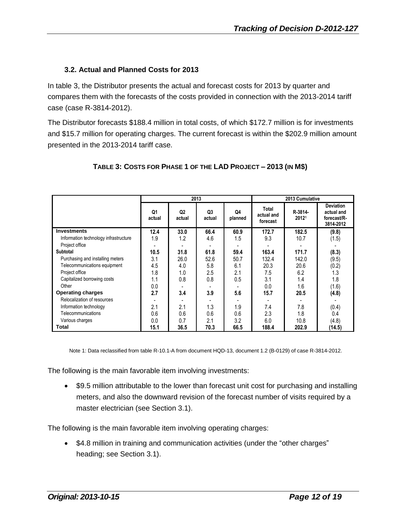#### **3.2. Actual and Planned Costs for 2013**

In table 3, the Distributor presents the actual and forecast costs for 2013 by quarter and compares them with the forecasts of the costs provided in connection with the 2013-2014 tariff case (case R-3814-2012).

The Distributor forecasts \$188.4 million in total costs, of which \$172.7 million is for investments and \$15.7 million for operating charges. The current forecast is within the \$202.9 million amount presented in the 2013-2014 tariff case.

|                                       | 2013         |              |                          |               | 2013 Cumulative                 |                  |                                                            |  |
|---------------------------------------|--------------|--------------|--------------------------|---------------|---------------------------------|------------------|------------------------------------------------------------|--|
|                                       | Q1<br>actual | Q2<br>actual | Q <sub>3</sub><br>actual | Q4<br>planned | Total<br>actual and<br>forecast | R-3814-<br>20121 | <b>Deviation</b><br>actual and<br>forecast/R-<br>3814-2012 |  |
| <b>Investments</b>                    | 12.4         | 33.0         | 66.4                     | 60.9          | 172.7                           | 182.5            | (9.8)                                                      |  |
| Information technology infrastructure | 1.9          | 1.2          | 4.6                      | 1.5           | 9.3                             | 10.7             | (1.5)                                                      |  |
| Project office                        |              |              |                          |               |                                 |                  |                                                            |  |
| Subtotal                              | 10.5         | 31.8         | 61.8                     | 59.4          | 163.4                           | 171.7            | (8.3)                                                      |  |
| Purchasing and installing meters      | 3.1          | 26.0         | 52.6                     | 50.7          | 132.4                           | 142.0            | (9.5)                                                      |  |
| Telecommunications equipment          | 4.5          | 4.0          | 5.8                      | 6.1           | 20.3                            | 20.6             | (0.2)                                                      |  |
| Project office                        | 1.8          | 1.0          | 2.5                      | 2.1           | 7.5                             | 6.2              | 1.3                                                        |  |
| Capitalized borrowing costs           | 1.1          | 0.8          | 0.8                      | 0.5           | 3.1                             | 1.4              | 1.8                                                        |  |
| Other                                 | 0.0          |              |                          |               | 0.0                             | 1.6              | (1.6)                                                      |  |
| <b>Operating charges</b>              | 2.7          | 3.4          | 3.9                      | 5.6           | 15.7                            | 20.5             | (4.8)                                                      |  |
| Relocalization of resources           |              |              |                          |               |                                 |                  |                                                            |  |
| Information technology                | 2.1          | 2.1          | 1.3                      | 1.9           | 7.4                             | 7.8              | (0.4)                                                      |  |
| Telecommunications                    | 0.6          | 0.6          | 0.6                      | 0.6           | 2.3                             | 1.8              | 0.4                                                        |  |
| Various charges                       | 0.0          | 0.7          | 2.1                      | 3.2           | 6.0                             | 10.8             | (4.8)                                                      |  |
| Total                                 | 15.1         | 36.5         | 70.3                     | 66.5          | 188.4                           | 202.9            | (14.5)                                                     |  |

#### **TABLE 3: COSTS FOR PHASE 1 OF THE LAD PROJECT – 2013 (IN M\$)**

Note 1: Data reclassified from table R-10.1-A from document HQD-13, document 1.2 (B-0129) of case R-3814-2012.

The following is the main favorable item involving investments:

 \$9.5 million attributable to the lower than forecast unit cost for purchasing and installing meters, and also the downward revision of the forecast number of visits required by a master electrician (see Section 3.1).

The following is the main favorable item involving operating charges:

 \$4.8 million in training and communication activities (under the "other charges" heading; see Section 3.1).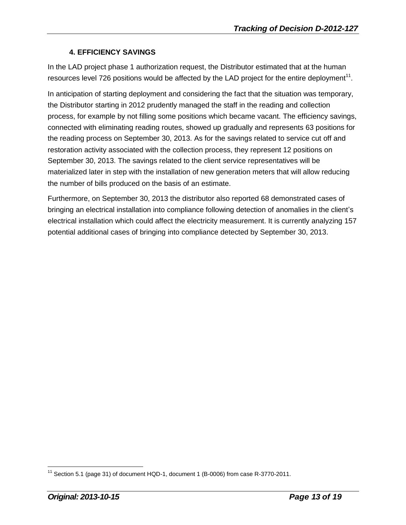#### **4. EFFICIENCY SAVINGS**

In the LAD project phase 1 authorization request, the Distributor estimated that at the human resources level 726 positions would be affected by the LAD project for the entire deployment<sup>11</sup>.

In anticipation of starting deployment and considering the fact that the situation was temporary, the Distributor starting in 2012 prudently managed the staff in the reading and collection process, for example by not filling some positions which became vacant. The efficiency savings, connected with eliminating reading routes, showed up gradually and represents 63 positions for the reading process on September 30, 2013. As for the savings related to service cut off and restoration activity associated with the collection process, they represent 12 positions on September 30, 2013. The savings related to the client service representatives will be materialized later in step with the installation of new generation meters that will allow reducing the number of bills produced on the basis of an estimate.

Furthermore, on September 30, 2013 the distributor also reported 68 demonstrated cases of bringing an electrical installation into compliance following detection of anomalies in the client's electrical installation which could affect the electricity measurement. It is currently analyzing 157 potential additional cases of bringing into compliance detected by September 30, 2013.

 $11$  Section 5.1 (page 31) of document HQD-1, document 1 (B-0006) from case R-3770-2011.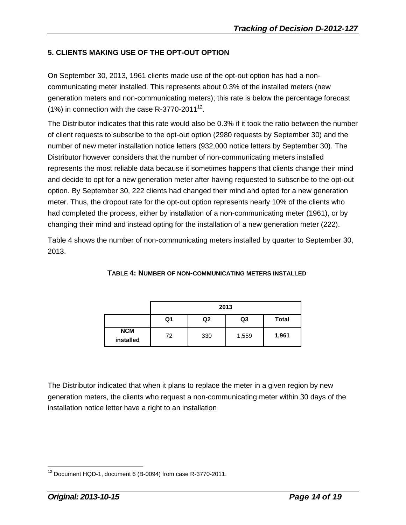#### **5. CLIENTS MAKING USE OF THE OPT-OUT OPTION**

On September 30, 2013, 1961 clients made use of the opt-out option has had a noncommunicating meter installed. This represents about 0.3% of the installed meters (new generation meters and non-communicating meters); this rate is below the percentage forecast (1%) in connection with the case R-3770-2011<sup>12</sup>.

The Distributor indicates that this rate would also be 0.3% if it took the ratio between the number of client requests to subscribe to the opt-out option (2980 requests by September 30) and the number of new meter installation notice letters (932,000 notice letters by September 30). The Distributor however considers that the number of non-communicating meters installed represents the most reliable data because it sometimes happens that clients change their mind and decide to opt for a new generation meter after having requested to subscribe to the opt-out option. By September 30, 222 clients had changed their mind and opted for a new generation meter. Thus, the dropout rate for the opt-out option represents nearly 10% of the clients who had completed the process, either by installation of a non-communicating meter (1961), or by changing their mind and instead opting for the installation of a new generation meter (222).

Table 4 shows the number of non-communicating meters installed by quarter to September 30, 2013.

|                         | 2013                           |     |       |       |  |  |  |  |
|-------------------------|--------------------------------|-----|-------|-------|--|--|--|--|
|                         | <b>Total</b><br>Q2<br>Q3<br>Q1 |     |       |       |  |  |  |  |
| <b>NCM</b><br>installed | 72                             | 330 | 1,559 | 1,961 |  |  |  |  |

**TABLE 4: NUMBER OF NON-COMMUNICATING METERS INSTALLED**

The Distributor indicated that when it plans to replace the meter in a given region by new generation meters, the clients who request a non-communicating meter within 30 days of the installation notice letter have a right to an installation

 $\overline{a}$ <sup>12</sup> Document HQD-1, document 6 (B-0094) from case R-3770-2011.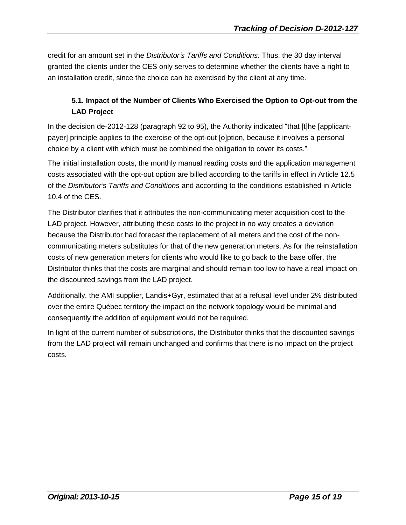credit for an amount set in the *Distributor's Tariffs and Conditions*. Thus, the 30 day interval granted the clients under the CES only serves to determine whether the clients have a right to an installation credit, since the choice can be exercised by the client at any time.

#### **5.1. Impact of the Number of Clients Who Exercised the Option to Opt-out from the LAD Project**

In the decision de-2012-128 (paragraph 92 to 95), the Authority indicated "that [t]he [applicantpayer] principle applies to the exercise of the opt-out [o]ption, because it involves a personal choice by a client with which must be combined the obligation to cover its costs."

The initial installation costs, the monthly manual reading costs and the application management costs associated with the opt-out option are billed according to the tariffs in effect in Article 12.5 of the *Distributor's Tariffs and Conditions* and according to the conditions established in Article 10.4 of the CES.

The Distributor clarifies that it attributes the non-communicating meter acquisition cost to the LAD project. However, attributing these costs to the project in no way creates a deviation because the Distributor had forecast the replacement of all meters and the cost of the noncommunicating meters substitutes for that of the new generation meters. As for the reinstallation costs of new generation meters for clients who would like to go back to the base offer, the Distributor thinks that the costs are marginal and should remain too low to have a real impact on the discounted savings from the LAD project.

Additionally, the AMI supplier, Landis+Gyr, estimated that at a refusal level under 2% distributed over the entire Québec territory the impact on the network topology would be minimal and consequently the addition of equipment would not be required.

In light of the current number of subscriptions, the Distributor thinks that the discounted savings from the LAD project will remain unchanged and confirms that there is no impact on the project costs.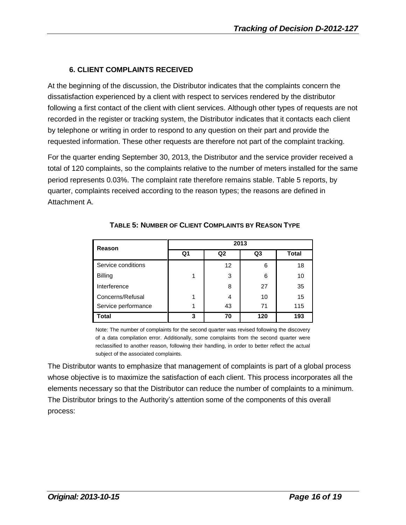#### **6. CLIENT COMPLAINTS RECEIVED**

At the beginning of the discussion, the Distributor indicates that the complaints concern the dissatisfaction experienced by a client with respect to services rendered by the distributor following a first contact of the client with client services. Although other types of requests are not recorded in the register or tracking system, the Distributor indicates that it contacts each client by telephone or writing in order to respond to any question on their part and provide the requested information. These other requests are therefore not part of the complaint tracking.

For the quarter ending September 30, 2013, the Distributor and the service provider received a total of 120 complaints, so the complaints relative to the number of meters installed for the same period represents 0.03%. The complaint rate therefore remains stable. Table 5 reports, by quarter, complaints received according to the reason types; the reasons are defined in Attachment A.

| Reason              | 2013           |                |                |              |  |  |  |  |
|---------------------|----------------|----------------|----------------|--------------|--|--|--|--|
|                     | Q <sub>1</sub> | Q <sub>2</sub> | Q <sub>3</sub> | <b>Total</b> |  |  |  |  |
| Service conditions  |                | 12             | 6              | 18           |  |  |  |  |
| <b>Billing</b>      |                | 3              | 6              | 10           |  |  |  |  |
| Interference        |                | 8              | 27             | 35           |  |  |  |  |
| Concerns/Refusal    | 1              | 4              | 10             | 15           |  |  |  |  |
| Service performance | 1              | 43             | 71             | 115          |  |  |  |  |
| <b>Total</b>        | 3              | 70             | 120            | 193          |  |  |  |  |

#### **TABLE 5: NUMBER OF CLIENT COMPLAINTS BY REASON TYPE**

Note: The number of complaints for the second quarter was revised following the discovery of a data compilation error. Additionally, some complaints from the second quarter were reclassified to another reason, following their handling, in order to better reflect the actual subject of the associated complaints.

The Distributor wants to emphasize that management of complaints is part of a global process whose objective is to maximize the satisfaction of each client. This process incorporates all the elements necessary so that the Distributor can reduce the number of complaints to a minimum. The Distributor brings to the Authority's attention some of the components of this overall process: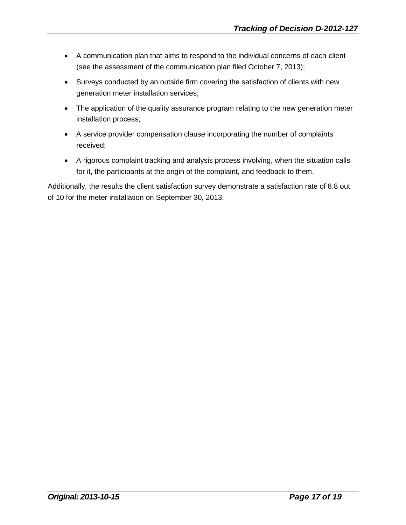- A communication plan that aims to respond to the individual concerns of each client (see the assessment of the communication plan filed October 7, 2013);
- Surveys conducted by an outside firm covering the satisfaction of clients with new generation meter installation services;
- The application of the quality assurance program relating to the new generation meter installation process;
- A service provider compensation clause incorporating the number of complaints received;
- A rigorous complaint tracking and analysis process involving, when the situation calls for it, the participants at the origin of the complaint, and feedback to them.

Additionally, the results the client satisfaction survey demonstrate a satisfaction rate of 8.8 out of 10 for the meter installation on September 30, 2013.